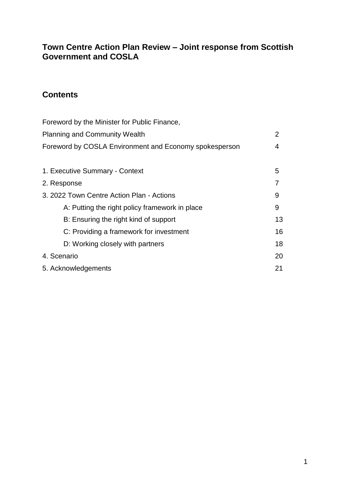# **Town Centre Action Plan Review – Joint response from Scottish Government and COSLA**

# **Contents**

| Foreword by the Minister for Public Finance,           |                |
|--------------------------------------------------------|----------------|
| <b>Planning and Community Wealth</b>                   | $\overline{2}$ |
| Foreword by COSLA Environment and Economy spokesperson | 4              |
|                                                        |                |
| 1. Executive Summary - Context                         | 5              |
| 2. Response                                            |                |
| 3. 2022 Town Centre Action Plan - Actions              | 9              |
| A: Putting the right policy framework in place         | 9              |
| B: Ensuring the right kind of support                  | 13             |
| C: Providing a framework for investment                | 16             |
| D: Working closely with partners                       | 18             |
| 4. Scenario                                            | 20             |
| 5. Acknowledgements                                    | 21             |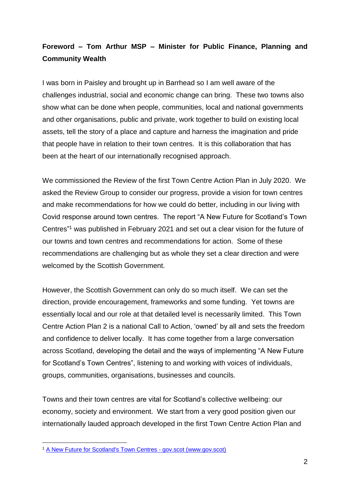# **Foreword – Tom Arthur MSP – Minister for Public Finance, Planning and Community Wealth**

I was born in Paisley and brought up in Barrhead so I am well aware of the challenges industrial, social and economic change can bring. These two towns also show what can be done when people, communities, local and national governments and other organisations, public and private, work together to build on existing local assets, tell the story of a place and capture and harness the imagination and pride that people have in relation to their town centres. It is this collaboration that has been at the heart of our internationally recognised approach.

We commissioned the Review of the first Town Centre Action Plan in July 2020. We asked the Review Group to consider our progress, provide a vision for town centres and make recommendations for how we could do better, including in our living with Covid response around town centres. The report "A New Future for Scotland's Town Centres" <sup>1</sup> was published in February 2021 and set out a clear vision for the future of our towns and town centres and recommendations for action. Some of these recommendations are challenging but as whole they set a clear direction and were welcomed by the Scottish Government.

However, the Scottish Government can only do so much itself. We can set the direction, provide encouragement, frameworks and some funding. Yet towns are essentially local and our role at that detailed level is necessarily limited. This Town Centre Action Plan 2 is a national Call to Action, 'owned' by all and sets the freedom and confidence to deliver locally. It has come together from a large conversation across Scotland, developing the detail and the ways of implementing "A New Future for Scotland's Town Centres", listening to and working with voices of individuals, groups, communities, organisations, businesses and councils.

Towns and their town centres are vital for Scotland's collective wellbeing: our economy, society and environment. We start from a very good position given our internationally lauded approach developed in the first Town Centre Action Plan and

1

<sup>1</sup> [A New Future for Scotland's Town Centres -](https://www.gov.scot/publications/new-future-scotlands-town-centres/) gov.scot (www.gov.scot)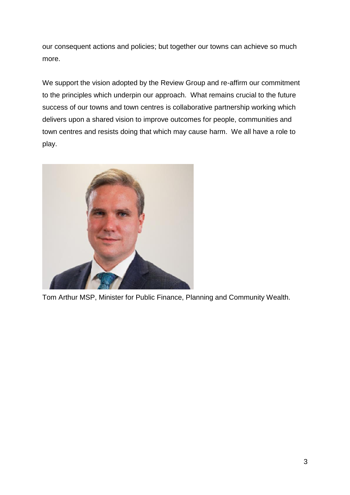our consequent actions and policies; but together our towns can achieve so much more.

We support the vision adopted by the Review Group and re-affirm our commitment to the principles which underpin our approach. What remains crucial to the future success of our towns and town centres is collaborative partnership working which delivers upon a shared vision to improve outcomes for people, communities and town centres and resists doing that which may cause harm. We all have a role to play.



Tom Arthur MSP, Minister for Public Finance, Planning and Community Wealth.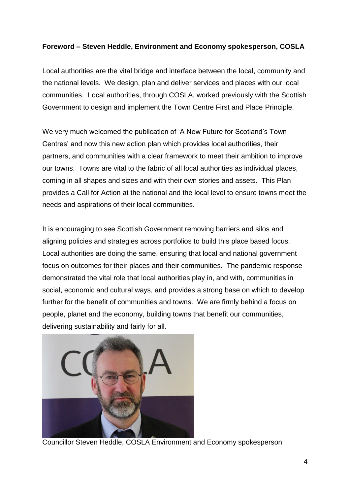# **Foreword – Steven Heddle, Environment and Economy spokesperson, COSLA**

Local authorities are the vital bridge and interface between the local, community and the national levels. We design, plan and deliver services and places with our local communities. Local authorities, through COSLA, worked previously with the Scottish Government to design and implement the Town Centre First and Place Principle.

We very much welcomed the publication of 'A New Future for Scotland's Town Centres' and now this new action plan which provides local authorities, their partners, and communities with a clear framework to meet their ambition to improve our towns. Towns are vital to the fabric of all local authorities as individual places, coming in all shapes and sizes and with their own stories and assets. This Plan provides a Call for Action at the national and the local level to ensure towns meet the needs and aspirations of their local communities.

It is encouraging to see Scottish Government removing barriers and silos and aligning policies and strategies across portfolios to build this place based focus. Local authorities are doing the same, ensuring that local and national government focus on outcomes for their places and their communities. The pandemic response demonstrated the vital role that local authorities play in, and with, communities in social, economic and cultural ways, and provides a strong base on which to develop further for the benefit of communities and towns. We are firmly behind a focus on people, planet and the economy, building towns that benefit our communities, delivering sustainability and fairly for all.



Councillor Steven Heddle, COSLA Environment and Economy spokesperson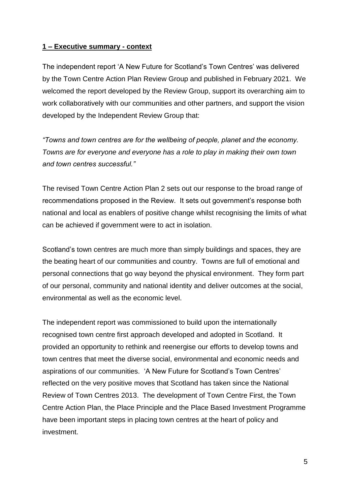#### **1 – Executive summary - context**

The independent report 'A New Future for Scotland's Town Centres' was delivered by the Town Centre Action Plan Review Group and published in February 2021. We welcomed the report developed by the Review Group, support its overarching aim to work collaboratively with our communities and other partners, and support the vision developed by the Independent Review Group that:

*"Towns and town centres are for the wellbeing of people, planet and the economy. Towns are for everyone and everyone has a role to play in making their own town and town centres successful."*

The revised Town Centre Action Plan 2 sets out our response to the broad range of recommendations proposed in the Review. It sets out government's response both national and local as enablers of positive change whilst recognising the limits of what can be achieved if government were to act in isolation.

Scotland's town centres are much more than simply buildings and spaces, they are the beating heart of our communities and country. Towns are full of emotional and personal connections that go way beyond the physical environment. They form part of our personal, community and national identity and deliver outcomes at the social, environmental as well as the economic level.

The independent report was commissioned to build upon the internationally recognised town centre first approach developed and adopted in Scotland. It provided an opportunity to rethink and reenergise our efforts to develop towns and town centres that meet the diverse social, environmental and economic needs and aspirations of our communities. 'A New Future for Scotland's Town Centres' reflected on the very positive moves that Scotland has taken since the National Review of Town Centres 2013. The development of Town Centre First, the Town Centre Action Plan, the Place Principle and the Place Based Investment Programme have been important steps in placing town centres at the heart of policy and investment.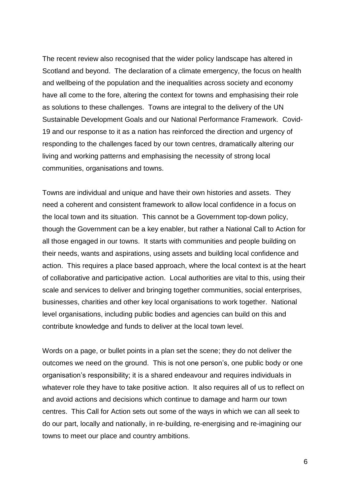The recent review also recognised that the wider policy landscape has altered in Scotland and beyond. The declaration of a climate emergency, the focus on health and wellbeing of the population and the inequalities across society and economy have all come to the fore, altering the context for towns and emphasising their role as solutions to these challenges. Towns are integral to the delivery of the UN Sustainable Development Goals and our National Performance Framework. Covid-19 and our response to it as a nation has reinforced the direction and urgency of responding to the challenges faced by our town centres, dramatically altering our living and working patterns and emphasising the necessity of strong local communities, organisations and towns.

Towns are individual and unique and have their own histories and assets. They need a coherent and consistent framework to allow local confidence in a focus on the local town and its situation. This cannot be a Government top-down policy, though the Government can be a key enabler, but rather a National Call to Action for all those engaged in our towns. It starts with communities and people building on their needs, wants and aspirations, using assets and building local confidence and action. This requires a place based approach, where the local context is at the heart of collaborative and participative action. Local authorities are vital to this, using their scale and services to deliver and bringing together communities, social enterprises, businesses, charities and other key local organisations to work together. National level organisations, including public bodies and agencies can build on this and contribute knowledge and funds to deliver at the local town level.

Words on a page, or bullet points in a plan set the scene; they do not deliver the outcomes we need on the ground. This is not one person's, one public body or one organisation's responsibility; it is a shared endeavour and requires individuals in whatever role they have to take positive action. It also requires all of us to reflect on and avoid actions and decisions which continue to damage and harm our town centres. This Call for Action sets out some of the ways in which we can all seek to do our part, locally and nationally, in re-building, re-energising and re-imagining our towns to meet our place and country ambitions.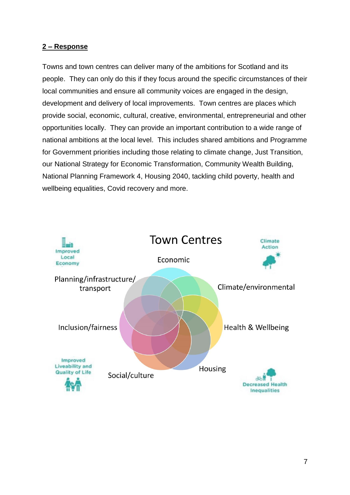## **2 – Response**

Towns and town centres can deliver many of the ambitions for Scotland and its people. They can only do this if they focus around the specific circumstances of their local communities and ensure all community voices are engaged in the design, development and delivery of local improvements. Town centres are places which provide social, economic, cultural, creative, environmental, entrepreneurial and other opportunities locally. They can provide an important contribution to a wide range of national ambitions at the local level. This includes shared ambitions and Programme for Government priorities including those relating to climate change, Just Transition, our National Strategy for Economic Transformation, Community Wealth Building, National Planning Framework 4, Housing 2040, tackling child poverty, health and wellbeing equalities, Covid recovery and more.

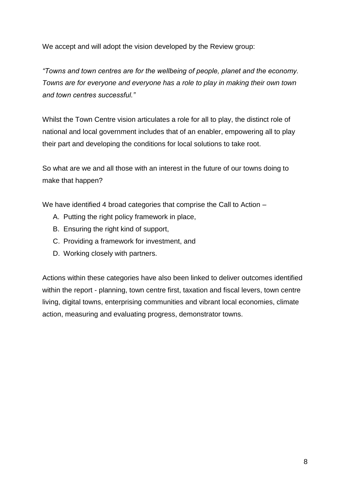We accept and will adopt the vision developed by the Review group:

*"Towns and town centres are for the wellbeing of people, planet and the economy. Towns are for everyone and everyone has a role to play in making their own town and town centres successful."*

Whilst the Town Centre vision articulates a role for all to play, the distinct role of national and local government includes that of an enabler, empowering all to play their part and developing the conditions for local solutions to take root.

So what are we and all those with an interest in the future of our towns doing to make that happen?

We have identified 4 broad categories that comprise the Call to Action –

- A. Putting the right policy framework in place,
- B. Ensuring the right kind of support,
- C. Providing a framework for investment, and
- D. Working closely with partners.

Actions within these categories have also been linked to deliver outcomes identified within the report - planning, town centre first, taxation and fiscal levers, town centre living, digital towns, enterprising communities and vibrant local economies, climate action, measuring and evaluating progress, demonstrator towns.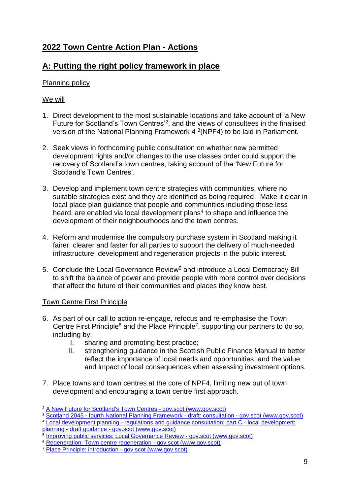# **2022 Town Centre Action Plan - Actions**

# **A: Putting the right policy framework in place**

# Planning policy

## We will

- 1. Direct development to the most sustainable locations and take account of 'a New Future for Scotland's Town Centres<sup>'2</sup>, and the views of consultees in the finalised version of the National Planning Framework  $4\sqrt[3]{NPF4}$  to be laid in Parliament.
- 2. Seek views in forthcoming public consultation on whether new permitted development rights and/or changes to the use classes order could support the recovery of Scotland's town centres, taking account of the 'New Future for Scotland's Town Centres'.
- 3. Develop and implement town centre strategies with communities, where no suitable strategies exist and they are identified as being required. Make it clear in local place plan guidance that people and communities including those less heard, are enabled via local development plans<sup>4</sup> to shape and influence the development of their neighbourhoods and the town centres.
- 4. Reform and modernise the compulsory purchase system in Scotland making it fairer, clearer and faster for all parties to support the delivery of much-needed infrastructure, development and regeneration projects in the public interest.
- 5. Conclude the Local Governance Review<sup>5</sup> and introduce a Local Democracy Bill to shift the balance of power and provide people with more control over decisions that affect the future of their communities and places they know best.

# Town Centre First Principle

- 6. As part of our call to action re-engage, refocus and re-emphasise the Town Centre First Principle<sup>6</sup> and the Place Principle<sup>7</sup>, supporting our partners to do so, including by:
	- I. sharing and promoting best practice;
	- II. strengthening guidance in the Scottish Public Finance Manual to better reflect the importance of local needs and opportunities, and the value and impact of local consequences when assessing investment options.
- 7. Place towns and town centres at the core of NPF4, limiting new out of town development and encouraging a town centre first approach.

<sup>1</sup> <sup>2</sup> [A New Future for Scotland's Town Centres -](https://www.gov.scot/publications/new-future-scotlands-town-centres/) gov.scot (www.gov.scot)

<sup>&</sup>lt;sup>3</sup> Scotland 2045 - [fourth National Planning Framework -](https://www.gov.scot/publications/scotland-2045-fourth-national-planning-framework-draft/) draft: consultation - gov.scot (www.gov.scot)

<sup>4</sup> Local development planning - [regulations and guidance consultation: part C -](https://www.gov.scot/publications/local-development-planning-regulations-guidance-consultation-part-c-draft-guidance-local-development-planning/) local development planning - draft guidance - [gov.scot \(www.gov.scot\)](https://www.gov.scot/publications/local-development-planning-regulations-guidance-consultation-part-c-draft-guidance-local-development-planning/) 5 [Improving public services: Local Governance Review -](https://www.gov.scot/policies/improving-public-services/local-governance-review/) gov.scot (www.gov.scot)

<sup>6</sup> [Regeneration: Town centre regeneration -](https://www.gov.scot/policies/regeneration/town-centre-regeneration/) gov.scot (www.gov.scot)

<sup>7</sup> [Place Principle: introduction -](https://www.gov.scot/publications/place-principle-introduction/) gov.scot (www.gov.scot)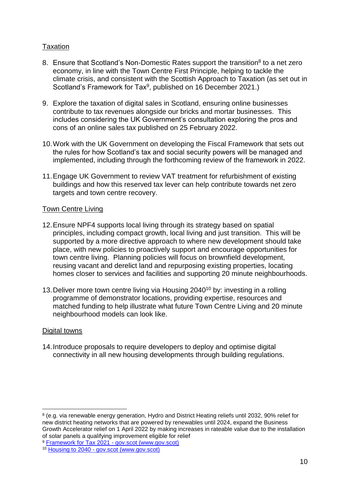## Taxation

- 8. Ensure that Scotland's Non-Domestic Rates support the transition<sup>8</sup> to a net zero economy, in line with the Town Centre First Principle, helping to tackle the climate crisis, and consistent with the Scottish Approach to Taxation (as set out in Scotland's Framework for Tax<sup>9</sup>, published on 16 December 2021.)
- 9. Explore the taxation of digital sales in Scotland, ensuring online businesses contribute to tax revenues alongside our bricks and mortar businesses. This includes considering the UK Government's consultation exploring the pros and cons of an online sales tax published on 25 February 2022.
- 10.Work with the UK Government on developing the Fiscal Framework that sets out the rules for how Scotland's tax and social security powers will be managed and implemented, including through the forthcoming review of the framework in 2022.
- 11.Engage UK Government to review VAT treatment for refurbishment of existing buildings and how this reserved tax lever can help contribute towards net zero targets and town centre recovery.

#### Town Centre Living

- 12.Ensure NPF4 supports local living through its strategy based on spatial principles, including compact growth, local living and just transition. This will be supported by a more directive approach to where new development should take place, with new policies to proactively support and encourage opportunities for town centre living. Planning policies will focus on brownfield development, reusing vacant and derelict land and repurposing existing properties, locating homes closer to services and facilities and supporting 20 minute neighbourhoods.
- 13. Deliver more town centre living via Housing 2040<sup>10</sup> by: investing in a rolling programme of demonstrator locations, providing expertise, resources and matched funding to help illustrate what future Town Centre Living and 20 minute neighbourhood models can look like.

#### Digital towns

1

14.Introduce proposals to require developers to deploy and optimise digital connectivity in all new housing developments through building regulations.

<sup>8</sup> (e.g. via renewable energy generation, Hydro and District Heating reliefs until 2032, 90% relief for new district heating networks that are powered by renewables until 2024, expand the Business Growth Accelerator relief on 1 April 2022 by making increases in rateable value due to the installation of solar panels a qualifying improvement eligible for relief

<sup>9</sup> [Framework for Tax 2021 -](https://www.gov.scot/publications/framework-tax-2021/) gov.scot (www.gov.scot)

<sup>10</sup> Housing to 2040 - [gov.scot \(www.gov.scot\)](https://www.gov.scot/publications/housing-2040-2/)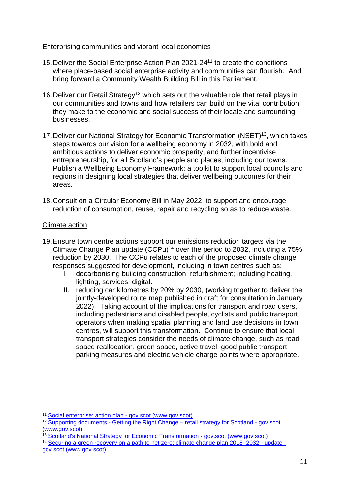#### Enterprising communities and vibrant local economies

- 15.Deliver the Social Enterprise Action Plan 2021-24<sup>11</sup> to create the conditions where place-based social enterprise activity and communities can flourish. And bring forward a Community Wealth Building Bill in this Parliament.
- 16. Deliver our Retail Strategy<sup>12</sup> which sets out the valuable role that retail plays in our communities and towns and how retailers can build on the vital contribution they make to the economic and social success of their locale and surrounding businesses.
- 17.Deliver our National Strategy for Economic Transformation (NSET)<sup>13</sup>, which takes steps towards our vision for a wellbeing economy in 2032, with bold and ambitious actions to deliver economic prosperity, and further incentivise entrepreneurship, for all Scotland's people and places, including our towns. Publish a Wellbeing Economy Framework: a toolkit to support local councils and regions in designing local strategies that deliver wellbeing outcomes for their areas.
- 18.Consult on a Circular Economy Bill in May 2022, to support and encourage reduction of consumption, reuse, repair and recycling so as to reduce waste.

# Climate action

1

- 19.Ensure town centre actions support our emissions reduction targets via the Climate Change Plan update  $(CCPu)^{14}$  over the period to 2032, including a 75% reduction by 2030. The CCPu relates to each of the proposed climate change responses suggested for development, including in town centres such as:
	- l. decarbonising building construction; refurbishment; including heating, lighting, services, digital.
	- II. reducing car kilometres by 20% by 2030, (working together to deliver the jointly-developed route map published in draft for consultation in January 2022). Taking account of the implications for transport and road users, including pedestrians and disabled people, cyclists and public transport operators when making spatial planning and land use decisions in town centres, will support this transformation. Continue to ensure that local transport strategies consider the needs of climate change, such as road space reallocation, green space, active travel, good public transport, parking measures and electric vehicle charge points where appropriate.

<sup>11</sup> [Social enterprise: action plan -](https://www.gov.scot/publications/social-enterprise-action-plan/) gov.scot (www.gov.scot)

<sup>&</sup>lt;sup>12</sup> Supporting documents - Getting the Right Change – [retail strategy for Scotland -](https://www.gov.scot/publications/getting-right-change-retail-strategy-scotland/documents/) gov.scot [\(www.gov.scot\)](https://www.gov.scot/publications/getting-right-change-retail-strategy-scotland/documents/)

<sup>&</sup>lt;sup>13</sup> [Scotland's National Strategy for Economic Transformation -](https://www.gov.scot/publications/scotlands-national-strategy-economic-transformation/) gov.scot (www.gov.scot)

<sup>14</sup> [Securing a green recovery on a path to net zero: climate change plan 2018–2032 -](https://www.gov.scot/publications/securing-green-recovery-path-net-zero-update-climate-change-plan-20182032/) update [gov.scot \(www.gov.scot\)](https://www.gov.scot/publications/securing-green-recovery-path-net-zero-update-climate-change-plan-20182032/)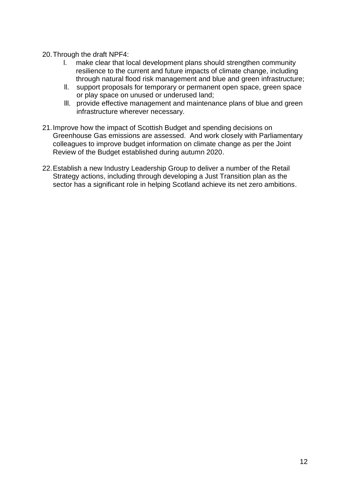- 20.Through the draft NPF4:
	- l. make clear that local development plans should strengthen community resilience to the current and future impacts of climate change, including through natural flood risk management and blue and green infrastructure;
	- ll. support proposals for temporary or permanent open space, green space or play space on unused or underused land;
	- lll. provide effective management and maintenance plans of blue and green infrastructure wherever necessary.
- 21.Improve how the impact of Scottish Budget and spending decisions on Greenhouse Gas emissions are assessed. And work closely with Parliamentary colleagues to improve budget information on climate change as per the Joint Review of the Budget established during autumn 2020.
- 22.Establish a new Industry Leadership Group to deliver a number of the Retail Strategy actions, including through developing a Just Transition plan as the sector has a significant role in helping Scotland achieve its net zero ambitions.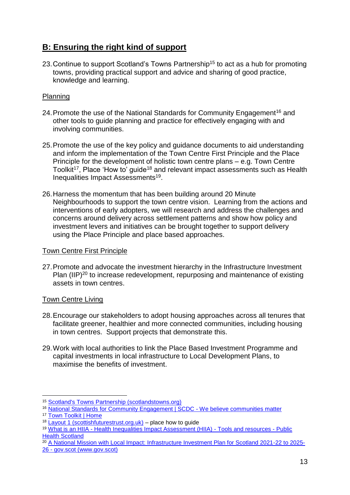# **B: Ensuring the right kind of support**

23. Continue to support Scotland's Towns Partnership<sup>15</sup> to act as a hub for promoting towns, providing practical support and advice and sharing of good practice, knowledge and learning.

## Planning

- 24. Promote the use of the National Standards for Community Engagement<sup>16</sup> and other tools to guide planning and practice for effectively engaging with and involving communities.
- 25.Promote the use of the key policy and guidance documents to aid understanding and inform the implementation of the Town Centre First Principle and the Place Principle for the development of holistic town centre plans – e.g. Town Centre Toolkit<sup>17</sup>, Place 'How to' guide<sup>18</sup> and relevant impact assessments such as Health Inequalities Impact Assessments<sup>19</sup>.
- 26.Harness the momentum that has been building around 20 Minute Neighbourhoods to support the town centre vision. Learning from the actions and interventions of early adopters, we will research and address the challenges and concerns around delivery across settlement patterns and show how policy and investment levers and initiatives can be brought together to support delivery using the Place Principle and place based approaches.

#### Town Centre First Principle

27.Promote and advocate the investment hierarchy in the Infrastructure Investment Plan (IIP)<sup>20</sup> to increase redevelopment, repurposing and maintenance of existing assets in town centres.

#### Town Centre Living

- 28.Encourage our stakeholders to adopt housing approaches across all tenures that facilitate greener, healthier and more connected communities, including housing in town centres. Support projects that demonstrate this.
- 29.Work with local authorities to link the Place Based Investment Programme and capital investments in local infrastructure to Local Development Plans, to maximise the benefits of investment.

 $\overline{a}$ <sup>15</sup> [Scotland's Towns Partnership \(scotlandstowns.org\)](https://www.scotlandstowns.org/)

<sup>16</sup> [National Standards for Community Engagement | SCDC -](https://www.scdc.org.uk/what/national-standards) We believe communities matter

<sup>17</sup> [Town Toolkit | Home](https://towntoolkit.scot/)

 $18$  [Layout 1 \(scottishfuturestrust.org.uk\)](https://www.scottishfuturestrust.org.uk/storage/uploads/place_guide_infographic.pdf) – place how to quide

<sup>19</sup> What is an HIIA - [Health Inequalities Impact Assessment \(HIIA\) -](http://www.healthscotland.scot/tools-and-resources/health-inequalities-impact-assessment-hiia/what-is-an-hiia) Tools and resources - Public [Health Scotland](http://www.healthscotland.scot/tools-and-resources/health-inequalities-impact-assessment-hiia/what-is-an-hiia)

<sup>&</sup>lt;sup>20</sup> [A National Mission with Local Impact: Infrastructure Investment Plan for Scotland 2021-22 to 2025-](https://www.gov.scot/publications/national-mission-local-impact-infrastructure-investment-plan-scotland-2021-22-2025-26/) 26 - [gov.scot \(www.gov.scot\)](https://www.gov.scot/publications/national-mission-local-impact-infrastructure-investment-plan-scotland-2021-22-2025-26/)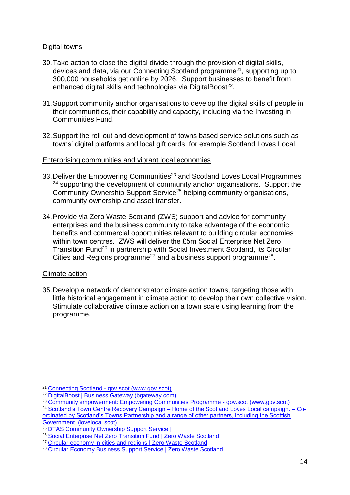#### Digital towns

- 30.Take action to close the digital divide through the provision of digital skills, devices and data, via our Connecting Scotland programme<sup>21</sup>, supporting up to 300,000 households get online by 2026. Support businesses to benefit from enhanced digital skills and technologies via DigitalBoost<sup>22</sup>.
- 31.Support community anchor organisations to develop the digital skills of people in their communities, their capability and capacity, including via the Investing in Communities Fund.
- 32.Support the roll out and development of towns based service solutions such as towns' digital platforms and local gift cards, for example Scotland Loves Local.

#### Enterprising communities and vibrant local economies

- 33. Deliver the Empowering Communities<sup>23</sup> and Scotland Loves Local Programmes <sup>24</sup> supporting the development of community anchor organisations. Support the Community Ownership Support Service<sup>25</sup> helping community organisations, community ownership and asset transfer.
- 34.Provide via Zero Waste Scotland (ZWS) support and advice for community enterprises and the business community to take advantage of the economic benefits and commercial opportunities relevant to building circular economies within town centres. ZWS will deliver the £5m Social Enterprise Net Zero Transition Fund<sup>26</sup> in partnership with Social Investment Scotland, its Circular Cities and Regions programme<sup>27</sup> and a business support programme<sup>28</sup>.

#### Climate action

35.Develop a network of demonstrator climate action towns, targeting those with little historical engagement in climate action to develop their own collective vision. Stimulate collaborative climate action on a town scale using learning from the programme.

<sup>1</sup> <sup>21</sup> Connecting Scotland - [gov.scot \(www.gov.scot\)](https://www.gov.scot/news/connecting-scotland-1/)

<sup>22</sup> [DigitalBoost | Business Gateway \(bgateway.com\)](https://www.bgateway.com/resources/digitalboost)

<sup>&</sup>lt;sup>23</sup> [Community empowerment: Empowering Communities Programme -](https://www.gov.scot/policies/community-empowerment/empowering-communities-fund/) gov.scot (www.gov.scot)

<sup>&</sup>lt;sup>24</sup> Scotland's Town Centre Recovery Campaign – [Home of the Scotland Loves Local campaign. –](https://lovelocal.scot/) Co[ordinated by Scotland's Towns Partnership and a range of other partners, including the Scottish](https://lovelocal.scot/)  [Government. \(lovelocal.scot\)](https://lovelocal.scot/)

<sup>&</sup>lt;sup>25</sup> [DTAS Community Ownership Support Service](https://dtascommunityownership.org.uk/)

<sup>26</sup> [Social Enterprise Net Zero Transition Fund | Zero Waste Scotland](https://www.zerowastescotland.org.uk/content/social-enterprise-net-zero-transition-fund)

<sup>&</sup>lt;sup>27</sup> [Circular economy in cities and regions | Zero Waste Scotland](https://www.zerowastescotland.org.uk/circular-economy/cities-and-regions)

<sup>28</sup> [Circular Economy Business Support Service | Zero Waste Scotland](https://www.zerowastescotland.org.uk/circular-economy/business-support-service)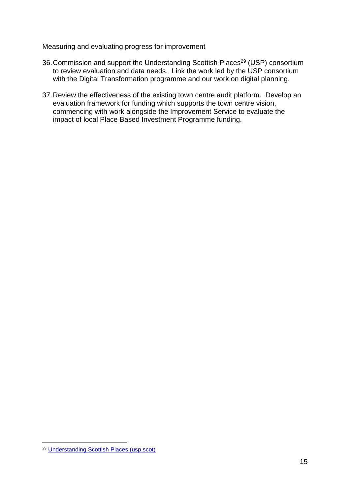#### Measuring and evaluating progress for improvement

- 36. Commission and support the Understanding Scottish Places<sup>29</sup> (USP) consortium to review evaluation and data needs. Link the work led by the USP consortium with the Digital Transformation programme and our work on digital planning.
- 37.Review the effectiveness of the existing town centre audit platform. Develop an evaluation framework for funding which supports the town centre vision, commencing with work alongside the Improvement Service to evaluate the impact of local Place Based Investment Programme funding.

<sup>1</sup> <sup>29</sup> [Understanding Scottish Places \(usp.scot\)](https://www.usp.scot/)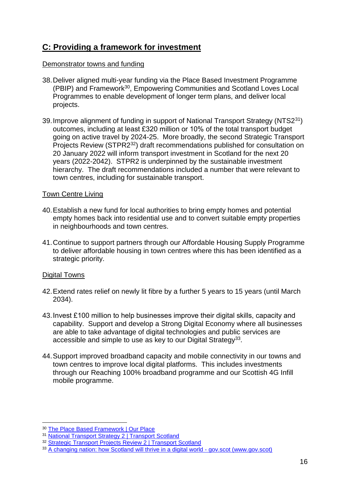# **C: Providing a framework for investment**

## Demonstrator towns and funding

- 38.Deliver aligned multi-year funding via the Place Based Investment Programme (PBIP) and Framework<sup>30</sup>, Empowering Communities and Scotland Loves Local Programmes to enable development of longer term plans, and deliver local projects.
- 39.Improve alignment of funding in support of National Transport Strategy (NTS2<sup>31</sup>) outcomes, including at least £320 million or 10% of the total transport budget going on active travel by 2024-25. More broadly, the second Strategic Transport Projects Review (STPR2<sup>32</sup>) draft recommendations published for consultation on 20 January 2022 will inform transport investment in Scotland for the next 20 years (2022-2042). STPR2 is underpinned by the sustainable investment hierarchy. The draft recommendations included a number that were relevant to town centres, including for sustainable transport.

#### Town Centre Living

- 40.Establish a new fund for local authorities to bring empty homes and potential empty homes back into residential use and to convert suitable empty properties in neighbourhoods and town centres.
- 41.Continue to support partners through our Affordable Housing Supply Programme to deliver affordable housing in town centres where this has been identified as a strategic priority.

## Digital Towns

1

- 42.Extend rates relief on newly lit fibre by a further 5 years to 15 years (until March 2034).
- 43.Invest £100 million to help businesses improve their digital skills, capacity and capability. Support and develop a Strong Digital Economy where all businesses are able to take advantage of digital technologies and public services are accessible and simple to use as key to our Digital Strategy<sup>33</sup>.
- 44.Support improved broadband capacity and mobile connectivity in our towns and town centres to improve local digital platforms. This includes investments through our Reaching 100% broadband programme and our Scottish 4G Infill mobile programme.

<sup>30</sup> [The Place Based Framework | Our Place](https://www.ourplace.scot/place-based-framework)

<sup>31</sup> [National Transport Strategy 2 | Transport Scotland](https://www.transport.gov.scot/publication/national-transport-strategy-2/)

<sup>32</sup> [Strategic Transport Projects Review 2 | Transport Scotland](https://www.transport.gov.scot/our-approach/strategy/strategic-transport-projects-review-2/)

<sup>33</sup> [A changing nation: how Scotland will thrive in a digital world -](https://www.gov.scot/publications/a-changing-nation-how-scotland-will-thrive-in-a-digital-world/) gov.scot (www.gov.scot)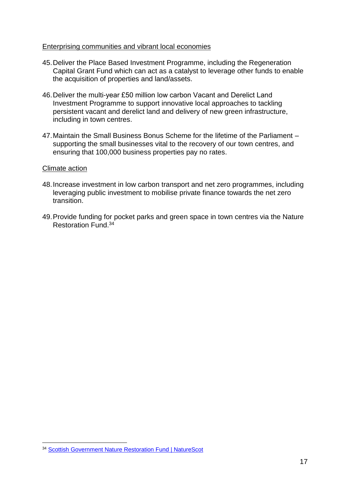#### Enterprising communities and vibrant local economies

- 45.Deliver the Place Based Investment Programme, including the Regeneration Capital Grant Fund which can act as a catalyst to leverage other funds to enable the acquisition of properties and land/assets.
- 46.Deliver the multi-year £50 million low carbon Vacant and Derelict Land Investment Programme to support innovative local approaches to tackling persistent vacant and derelict land and delivery of new green infrastructure, including in town centres.
- 47.Maintain the Small Business Bonus Scheme for the lifetime of the Parliament supporting the small businesses vital to the recovery of our town centres, and ensuring that 100,000 business properties pay no rates.

#### Climate action

- 48.Increase investment in low carbon transport and net zero programmes, including leveraging public investment to mobilise private finance towards the net zero transition.
- 49.Provide funding for pocket parks and green space in town centres via the Nature Restoration Fund. 34

<sup>1</sup> <sup>34</sup> [Scottish Government Nature Restoration Fund | NatureScot](https://www.nature.scot/funding-and-projects/scottish-government-nature-restoration-fund)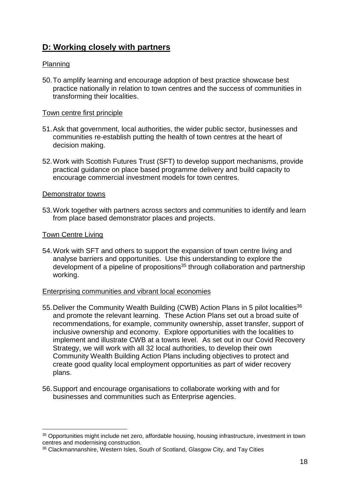# **D: Working closely with partners**

#### Planning

50.To amplify learning and encourage adoption of best practice showcase best practice nationally in relation to town centres and the success of communities in transforming their localities.

## Town centre first principle

- 51.Ask that government, local authorities, the wider public sector, businesses and communities re-establish putting the health of town centres at the heart of decision making.
- 52.Work with Scottish Futures Trust (SFT) to develop support mechanisms, provide practical guidance on place based programme delivery and build capacity to encourage commercial investment models for town centres.

#### Demonstrator towns

53.Work together with partners across sectors and communities to identify and learn from place based demonstrator places and projects.

#### Town Centre Living

1

54.Work with SFT and others to support the expansion of town centre living and analyse barriers and opportunities. Use this understanding to explore the development of a pipeline of propositions<sup>35</sup> through collaboration and partnership working.

#### Enterprising communities and vibrant local economies

- 55. Deliver the Community Wealth Building (CWB) Action Plans in 5 pilot localities<sup>36</sup> and promote the relevant learning. These Action Plans set out a broad suite of recommendations, for example, community ownership, asset transfer, support of inclusive ownership and economy. Explore opportunities with the localities to implement and illustrate CWB at a towns level. As set out in our Covid Recovery Strategy, we will work with all 32 local authorities, to develop their own Community Wealth Building Action Plans including objectives to protect and create good quality local employment opportunities as part of wider recovery plans.
- 56.Support and encourage organisations to collaborate working with and for businesses and communities such as Enterprise agencies.

<sup>35</sup> Opportunities might include net zero, affordable housing, housing infrastructure, investment in town centres and modernising construction.

<sup>36</sup> Clackmannanshire, Western Isles, South of Scotland, Glasgow City, and Tay Cities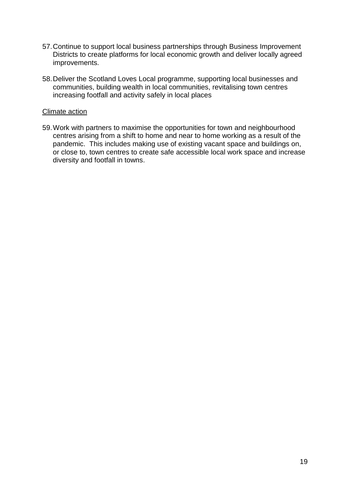- 57.Continue to support local business partnerships through Business Improvement Districts to create platforms for local economic growth and deliver locally agreed improvements.
- 58.Deliver the Scotland Loves Local programme, supporting local businesses and communities, building wealth in local communities, revitalising town centres increasing footfall and activity safely in local places

#### Climate action

59.Work with partners to maximise the opportunities for town and neighbourhood centres arising from a shift to home and near to home working as a result of the pandemic. This includes making use of existing vacant space and buildings on, or close to, town centres to create safe accessible local work space and increase diversity and footfall in towns.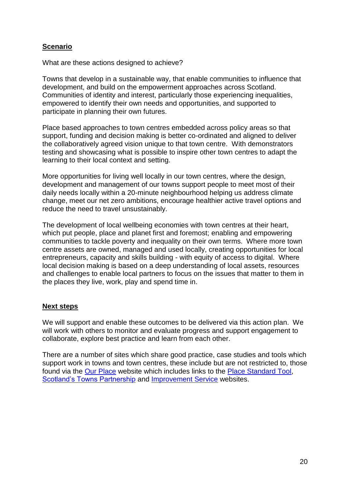## **Scenario**

What are these actions designed to achieve?

Towns that develop in a sustainable way, that enable communities to influence that development, and build on the empowerment approaches across Scotland. Communities of identity and interest, particularly those experiencing inequalities, empowered to identify their own needs and opportunities, and supported to participate in planning their own futures.

Place based approaches to town centres embedded across policy areas so that support, funding and decision making is better co-ordinated and aligned to deliver the collaboratively agreed vision unique to that town centre. With demonstrators testing and showcasing what is possible to inspire other town centres to adapt the learning to their local context and setting.

More opportunities for living well locally in our town centres, where the design, development and management of our towns support people to meet most of their daily needs locally within a 20-minute neighbourhood helping us address climate change, meet our net zero ambitions, encourage healthier active travel options and reduce the need to travel unsustainably.

The development of local wellbeing economies with town centres at their heart, which put people, place and planet first and foremost; enabling and empowering communities to tackle poverty and inequality on their own terms. Where more town centre assets are owned, managed and used locally, creating opportunities for local entrepreneurs, capacity and skills building - with equity of access to digital. Where local decision making is based on a deep understanding of local assets, resources and challenges to enable local partners to focus on the issues that matter to them in the places they live, work, play and spend time in.

## **Next steps**

We will support and enable these outcomes to be delivered via this action plan. We will work with others to monitor and evaluate progress and support engagement to collaborate, explore best practice and learn from each other.

There are a number of sites which share good practice, case studies and tools which support work in towns and town centres, these include but are not restricted to, those found via the [Our Place](https://www.ourplace.scot/) website which includes links to the [Place Standard Tool,](https://www.ourplace.scot/AboutPlaceStandard) [Scotland's Towns Partnership](https://www.scotlandstowns.org/) and [Improvement Service](https://www.improvementservice.org.uk/__data/assets/pdf_file/0021/19740/20-minute-neighbourhood-rapid-scoping-assessment.pdf) websites.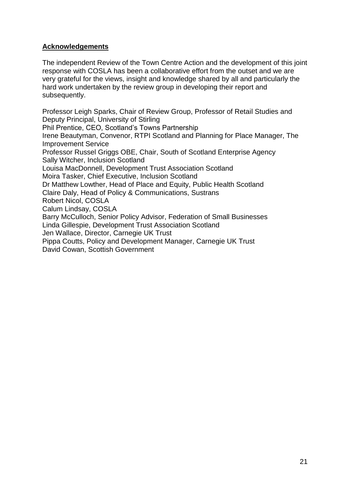# **Acknowledgements**

The independent Review of the Town Centre Action and the development of this joint response with COSLA has been a collaborative effort from the outset and we are very grateful for the views, insight and knowledge shared by all and particularly the hard work undertaken by the review group in developing their report and subsequently.

Professor Leigh Sparks, Chair of Review Group, Professor of Retail Studies and Deputy Principal, University of Stirling Phil Prentice, CEO, Scotland's Towns Partnership Irene Beautyman, Convenor, RTPI Scotland and Planning for Place Manager, The Improvement Service Professor Russel Griggs OBE, Chair, South of Scotland Enterprise Agency Sally Witcher, Inclusion Scotland Louisa MacDonnell, Development Trust Association Scotland Moira Tasker, Chief Executive, Inclusion Scotland Dr Matthew Lowther, Head of Place and Equity, Public Health Scotland Claire Daly, Head of Policy & Communications, Sustrans Robert Nicol, COSLA Calum Lindsay, COSLA Barry McCulloch, Senior Policy Advisor, Federation of Small Businesses Linda Gillespie, Development Trust Association Scotland Jen Wallace, Director, Carnegie UK Trust Pippa Coutts, Policy and Development Manager, Carnegie UK Trust David Cowan, Scottish Government